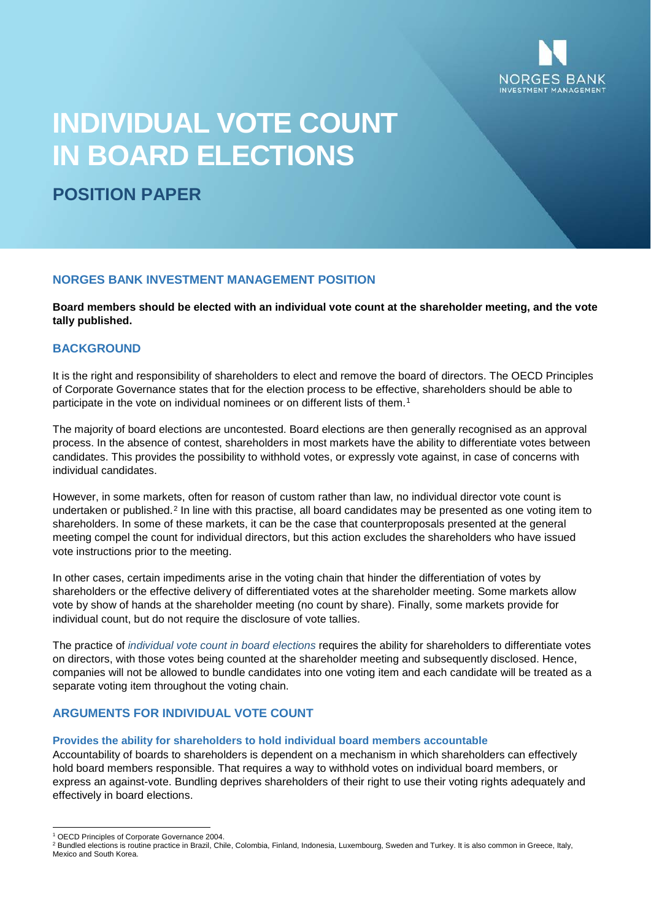

# **INDIVIDUAL VOTE COUNT IN BOARD ELECTIONS**

**POSITION PAPER**

## **NORGES BANK INVESTMENT MANAGEMENT POSITION**

**Board members should be elected with an individual vote count at the shareholder meeting, and the vote tally published.**

## **BACKGROUND**

It is the right and responsibility of shareholders to elect and remove the board of directors. The OECD Principles of Corporate Governance states that for the election process to be effective, shareholders should be able to participate in the vote on individual nominees or on different lists of them.<sup>[1](#page-0-0)</sup>

The majority of board elections are uncontested. Board elections are then generally recognised as an approval process. In the absence of contest, shareholders in most markets have the ability to differentiate votes between candidates. This provides the possibility to withhold votes, or expressly vote against, in case of concerns with individual candidates.

However, in some markets, often for reason of custom rather than law, no individual director vote count is undertaken or published.[2](#page-0-1) In line with this practise, all board candidates may be presented as one voting item to shareholders. In some of these markets, it can be the case that counterproposals presented at the general meeting compel the count for individual directors, but this action excludes the shareholders who have issued vote instructions prior to the meeting.

In other cases, certain impediments arise in the voting chain that hinder the differentiation of votes by shareholders or the effective delivery of differentiated votes at the shareholder meeting. Some markets allow vote by show of hands at the shareholder meeting (no count by share). Finally, some markets provide for individual count, but do not require the disclosure of vote tallies.

The practice of *individual vote count in board elections* requires the ability for shareholders to differentiate votes on directors, with those votes being counted at the shareholder meeting and subsequently disclosed. Hence, companies will not be allowed to bundle candidates into one voting item and each candidate will be treated as a separate voting item throughout the voting chain.

# **ARGUMENTS FOR INDIVIDUAL VOTE COUNT**

### **Provides the ability for shareholders to hold individual board members accountable**

Accountability of boards to shareholders is dependent on a mechanism in which shareholders can effectively hold board members responsible. That requires a way to withhold votes on individual board members, or express an against-vote. Bundling deprives shareholders of their right to use their voting rights adequately and effectively in board elections.

<sup>1</sup> OECD Principles of Corporate Governance 2004. -

<span id="page-0-1"></span><span id="page-0-0"></span><sup>2</sup> Bundled elections is routine practice in Brazil, Chile, Colombia, Finland, Indonesia, Luxembourg, Sweden and Turkey. It is also common in Greece, Italy, Mexico and South Korea.